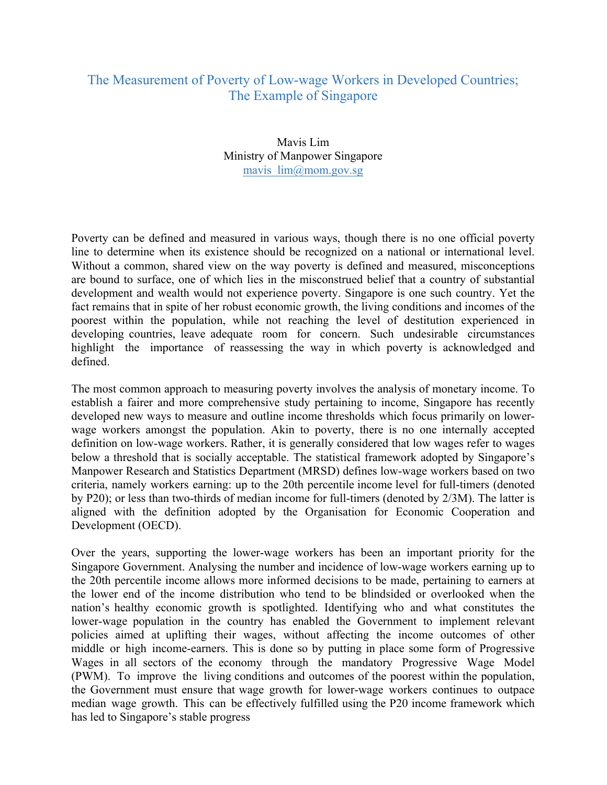## The Measurement of Poverty of Low-wage Workers in Developed Countries; The Example of Singapore

## Mavis Lim Ministry of Manpower Singapore mavis\_lim@mom.gov.sg

Poverty can be defined and measured in various ways, though there is no one official poverty line to determine when its existence should be recognized on a national or international level. Without a common, shared view on the way poverty is defined and measured, misconceptions are bound to surface, one of which lies in the misconstrued belief that a country of substantial development and wealth would not experience poverty. Singapore is one such country. Yet the fact remains that in spite of her robust economic growth, the living conditions and incomes of the poorest within the population, while not reaching the level of destitution experienced in developing countries, leave adequate room for concern. Such undesirable circumstances highlight the importance of reassessing the way in which poverty is acknowledged and defined.

The most common approach to measuring poverty involves the analysis of monetary income. To establish a fairer and more comprehensive study pertaining to income, Singapore has recently developed new ways to measure and outline income thresholds which focus primarily on lowerwage workers amongst the population. Akin to poverty, there is no one internally accepted definition on low-wage workers. Rather, it is generally considered that low wages refer to wages below a threshold that is socially acceptable. The statistical framework adopted by Singapore's Manpower Research and Statistics Department (MRSD) defines low-wage workers based on two criteria, namely workers earning: up to the 20th percentile income level for full-timers (denoted by P20); or less than two-thirds of median income for full-timers (denoted by 2/3M). The latter is aligned with the definition adopted by the Organisation for Economic Cooperation and Development (OECD).

Over the years, supporting the lower-wage workers has been an important priority for the Singapore Government. Analysing the number and incidence of low-wage workers earning up to the 20th percentile income allows more informed decisions to be made, pertaining to earners at the lower end of the income distribution who tend to be blindsided or overlooked when the nation's healthy economic growth is spotlighted. Identifying who and what constitutes the lower-wage population in the country has enabled the Government to implement relevant policies aimed at uplifting their wages, without affecting the income outcomes of other middle or high income-earners. This is done so by putting in place some form of Progressive Wages in all sectors of the economy through the mandatory Progressive Wage Model (PWM). To improve the living conditions and outcomes of the poorest within the population, the Government must ensure that wage growth for lower-wage workers continues to outpace median wage growth. This can be effectively fulfilled using the P20 income framework which has led to Singapore's stable progress